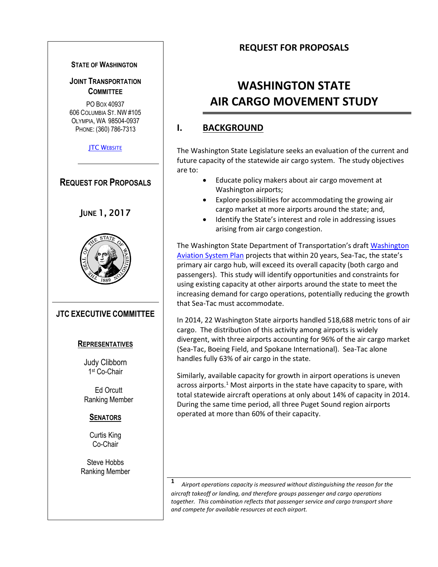#### **STATE OF WASHINGTON**

#### **JOINT TRANSPORTATION COMMITTEE**

PO BOX 40937 606 COLUMBIA ST. NW #105 OLYMPIA, WA 98504-0937 PHONE: (360) 786-7313

**JTC W[EBSITE](http://leg.wa.gov/JTC/)** 



#### **SENATORS**

Curtis King Co-Chair

Steve Hobbs Ranking Member

#### **REQUEST FOR PROPOSALS**

# **WASHINGTON STATE AIR CARGO MOVEMENT STUDY**

### **I. BACKGROUND**

The Washington State Legislature seeks an evaluation of the current and future capacity of the statewide air cargo system. The study objectives are to:

- Educate policy makers about air cargo movement at Washington airports;
- Explore possibilities for accommodating the growing air cargo market at more airports around the state; and,
- Identify the State's interest and role in addressing issues arising from air cargo congestion.

The Washington State Department of Transportation's draft [Washington](http://www.wsdot.wa.gov/aviation/Planning/wasp.htmhttp:/www.wsdot.wa.gov/aviation/Planning/wasp.htm)  [Aviation System Plan](http://www.wsdot.wa.gov/aviation/Planning/wasp.htmhttp:/www.wsdot.wa.gov/aviation/Planning/wasp.htm) projects that within 20 years, Sea-Tac, the state's primary air cargo hub, will exceed its overall capacity (both cargo and passengers). This study will identify opportunities and constraints for using existing capacity at other airports around the state to meet the increasing demand for cargo operations, potentially reducing the growth that Sea-Tac must accommodate.

In 2014, 22 Washington State airports handled 518,688 metric tons of air cargo. The distribution of this activity among airports is widely divergent, with three airports accounting for 96% of the air cargo market (Sea-Tac, Boeing Field, and Spokane International). Sea-Tac alone handles fully 63% of air cargo in the state.

Similarly, available capacity for growth in airport operations is uneven across airports.<sup>1</sup> Most airports in the state have capacity to spare, with total statewide aircraft operations at only about 14% of capacity in 2014. During the same time period, all three Puget Sound region airports operated at more than 60% of their capacity.

**<sup>1</sup>***Airport operations capacity is measured without distinguishing the reason for the aircraft takeoff or landing, and therefore groups passenger and cargo operations together. This combination reflects that passenger service and cargo transport share and compete for available resources at each airport.*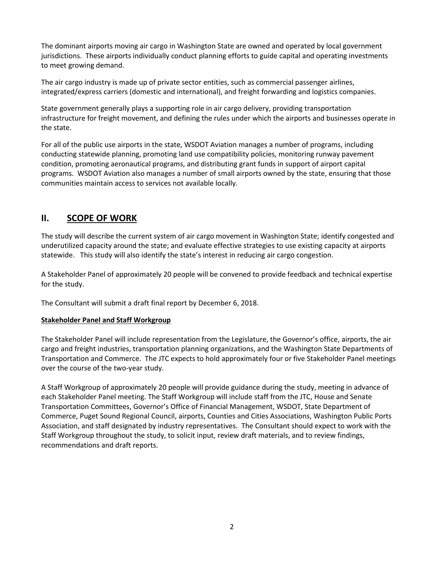The dominant airports moving air cargo in Washington State are owned and operated by local government jurisdictions. These airports individually conduct planning efforts to guide capital and operating investments to meet growing demand.

The air cargo industry is made up of private sector entities, such as commercial passenger airlines, integrated/express carriers (domestic and international), and freight forwarding and logistics companies.

State government generally plays a supporting role in air cargo delivery, providing transportation infrastructure for freight movement, and defining the rules under which the airports and businesses operate in the state.

For all of the public use airports in the state, WSDOT Aviation manages a number of programs, including conducting statewide planning, promoting land use compatibility policies, monitoring runway pavement condition, promoting aeronautical programs, and distributing grant funds in support of airport capital programs. WSDOT Aviation also manages a number of small airports owned by the state, ensuring that those communities maintain access to services not available locally.

### **II. SCOPE OF WORK**

The study will describe the current system of air cargo movement in Washington State; identify congested and underutilized capacity around the state; and evaluate effective strategies to use existing capacity at airports statewide. This study will also identify the state's interest in reducing air cargo congestion.

A Stakeholder Panel of approximately 20 people will be convened to provide feedback and technical expertise for the study.

The Consultant will submit a draft final report by December 6, 2018.

#### **Stakeholder Panel and Staff Workgroup**

The Stakeholder Panel will include representation from the Legislature, the Governor's office, airports, the air cargo and freight industries, transportation planning organizations, and the Washington State Departments of Transportation and Commerce. The JTC expects to hold approximately four or five Stakeholder Panel meetings over the course of the two-year study.

A Staff Workgroup of approximately 20 people will provide guidance during the study, meeting in advance of each Stakeholder Panel meeting. The Staff Workgroup will include staff from the JTC, House and Senate Transportation Committees, Governor's Office of Financial Management, WSDOT, State Department of Commerce, Puget Sound Regional Council, airports, Counties and Cities Associations, Washington Public Ports Association, and staff designated by industry representatives. The Consultant should expect to work with the Staff Workgroup throughout the study, to solicit input, review draft materials, and to review findings, recommendations and draft reports.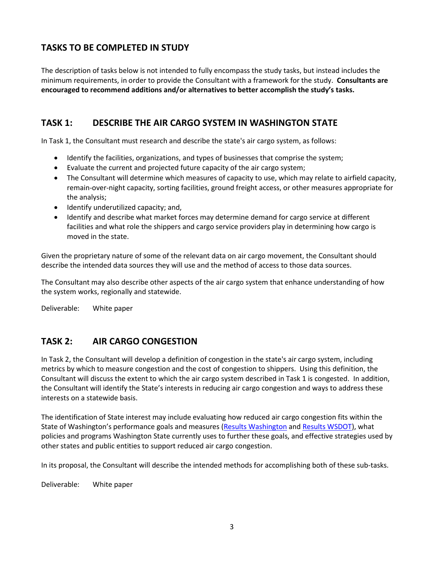### **TASKS TO BE COMPLETED IN STUDY**

The description of tasks below is not intended to fully encompass the study tasks, but instead includes the minimum requirements, in order to provide the Consultant with a framework for the study. **Consultants are encouraged to recommend additions and/or alternatives to better accomplish the study's tasks.**

### **TASK 1: DESCRIBE THE AIR CARGO SYSTEM IN WASHINGTON STATE**

In Task 1, the Consultant must research and describe the state's air cargo system, as follows:

- Identify the facilities, organizations, and types of businesses that comprise the system;
- Evaluate the current and projected future capacity of the air cargo system;
- The Consultant will determine which measures of capacity to use, which may relate to airfield capacity, remain-over-night capacity, sorting facilities, ground freight access, or other measures appropriate for the analysis;
- Identify underutilized capacity; and,
- Identify and describe what market forces may determine demand for cargo service at different facilities and what role the shippers and cargo service providers play in determining how cargo is moved in the state.

Given the proprietary nature of some of the relevant data on air cargo movement, the Consultant should describe the intended data sources they will use and the method of access to those data sources.

The Consultant may also describe other aspects of the air cargo system that enhance understanding of how the system works, regionally and statewide.

Deliverable: White paper

## **TASK 2: AIR CARGO CONGESTION**

In Task 2, the Consultant will develop a definition of congestion in the state's air cargo system, including metrics by which to measure congestion and the cost of congestion to shippers. Using this definition, the Consultant will discuss the extent to which the air cargo system described in Task 1 is congested. In addition, the Consultant will identify the State's interests in reducing air cargo congestion and ways to address these interests on a statewide basis.

The identification of State interest may include evaluating how reduced air cargo congestion fits within the State of Washington's performance goals and measures ([Results Washington](http://www.results.wa.gov/) and [Results WSDOT\)](http://www.wsdot.wa.gov/about/secretary/results-wsdot), what policies and programs Washington State currently uses to further these goals, and effective strategies used by other states and public entities to support reduced air cargo congestion.

In its proposal, the Consultant will describe the intended methods for accomplishing both of these sub-tasks.

Deliverable: White paper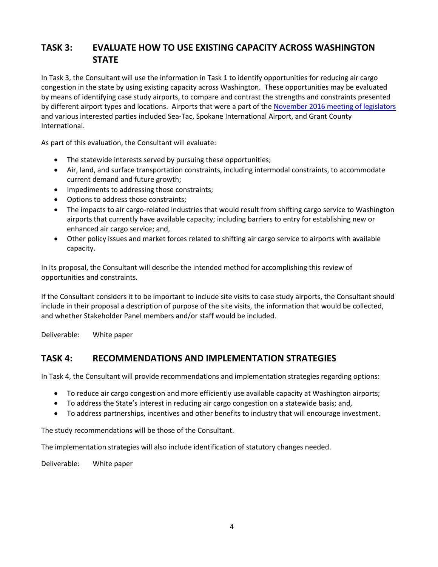### **TASK 3: EVALUATE HOW TO USE EXISTING CAPACITY ACROSS WASHINGTON STATE**

In Task 3, the Consultant will use the information in Task 1 to identify opportunities for reducing air cargo congestion in the state by using existing capacity across Washington. These opportunities may be evaluated by means of identifying case study airports, to compare and contrast the strengths and constraints presented by different airport types and locations. Airports that were a part of th[e November 2016 meeting of legislators](http://leg.wa.gov/JTC/Documents/Studies/AirCargo/AviationCapacityAirFreightMeetingNotes110716.pdf) and various interested parties included Sea-Tac, Spokane International Airport, and Grant County International.

As part of this evaluation, the Consultant will evaluate:

- The statewide interests served by pursuing these opportunities;
- Air, land, and surface transportation constraints, including intermodal constraints, to accommodate current demand and future growth;
- Impediments to addressing those constraints;
- Options to address those constraints;
- The impacts to air cargo-related industries that would result from shifting cargo service to Washington airports that currently have available capacity; including barriers to entry for establishing new or enhanced air cargo service; and,
- Other policy issues and market forces related to shifting air cargo service to airports with available capacity.

In its proposal, the Consultant will describe the intended method for accomplishing this review of opportunities and constraints.

If the Consultant considers it to be important to include site visits to case study airports, the Consultant should include in their proposal a description of purpose of the site visits, the information that would be collected, and whether Stakeholder Panel members and/or staff would be included.

Deliverable: White paper

#### **TASK 4: RECOMMENDATIONS AND IMPLEMENTATION STRATEGIES**

In Task 4, the Consultant will provide recommendations and implementation strategies regarding options:

- To reduce air cargo congestion and more efficiently use available capacity at Washington airports;
- To address the State's interest in reducing air cargo congestion on a statewide basis; and,
- To address partnerships, incentives and other benefits to industry that will encourage investment.

The study recommendations will be those of the Consultant.

The implementation strategies will also include identification of statutory changes needed.

Deliverable: White paper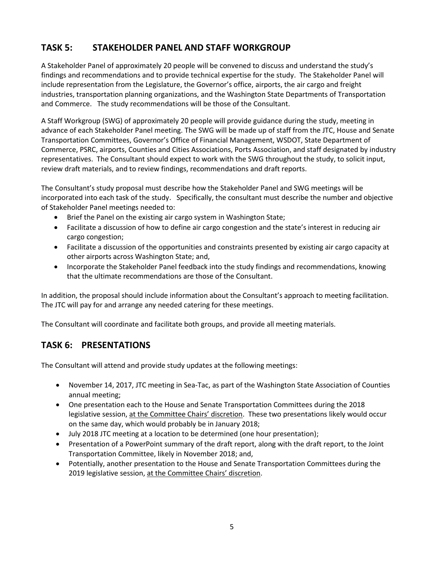# **TASK 5: STAKEHOLDER PANEL AND STAFF WORKGROUP**

A Stakeholder Panel of approximately 20 people will be convened to discuss and understand the study's findings and recommendations and to provide technical expertise for the study. The Stakeholder Panel will include representation from the Legislature, the Governor's office, airports, the air cargo and freight industries, transportation planning organizations, and the Washington State Departments of Transportation and Commerce. The study recommendations will be those of the Consultant.

A Staff Workgroup (SWG) of approximately 20 people will provide guidance during the study, meeting in advance of each Stakeholder Panel meeting. The SWG will be made up of staff from the JTC, House and Senate Transportation Committees, Governor's Office of Financial Management, WSDOT, State Department of Commerce, PSRC, airports, Counties and Cities Associations, Ports Association, and staff designated by industry representatives. The Consultant should expect to work with the SWG throughout the study, to solicit input, review draft materials, and to review findings, recommendations and draft reports.

The Consultant's study proposal must describe how the Stakeholder Panel and SWG meetings will be incorporated into each task of the study. Specifically, the consultant must describe the number and objective of Stakeholder Panel meetings needed to:

- Brief the Panel on the existing air cargo system in Washington State;
- Facilitate a discussion of how to define air cargo congestion and the state's interest in reducing air cargo congestion;
- Facilitate a discussion of the opportunities and constraints presented by existing air cargo capacity at other airports across Washington State; and,
- Incorporate the Stakeholder Panel feedback into the study findings and recommendations, knowing that the ultimate recommendations are those of the Consultant.

In addition, the proposal should include information about the Consultant's approach to meeting facilitation. The JTC will pay for and arrange any needed catering for these meetings.

The Consultant will coordinate and facilitate both groups, and provide all meeting materials.

## **TASK 6: PRESENTATIONS**

The Consultant will attend and provide study updates at the following meetings:

- November 14, 2017, JTC meeting in Sea-Tac, as part of the Washington State Association of Counties annual meeting;
- One presentation each to the House and Senate Transportation Committees during the 2018 legislative session, at the Committee Chairs' discretion. These two presentations likely would occur on the same day, which would probably be in January 2018;
- July 2018 JTC meeting at a location to be determined (one hour presentation);
- Presentation of a PowerPoint summary of the draft report, along with the draft report, to the Joint Transportation Committee, likely in November 2018; and,
- Potentially, another presentation to the House and Senate Transportation Committees during the 2019 legislative session, at the Committee Chairs' discretion.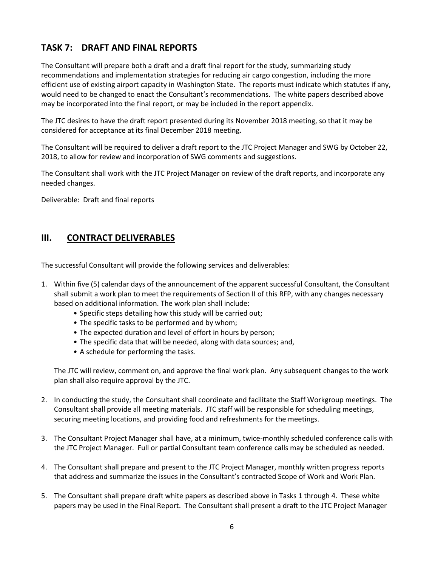# **TASK 7: DRAFT AND FINAL REPORTS**

The Consultant will prepare both a draft and a draft final report for the study, summarizing study recommendations and implementation strategies for reducing air cargo congestion, including the more efficient use of existing airport capacity in Washington State. The reports must indicate which statutes if any, would need to be changed to enact the Consultant's recommendations. The white papers described above may be incorporated into the final report, or may be included in the report appendix.

The JTC desires to have the draft report presented during its November 2018 meeting, so that it may be considered for acceptance at its final December 2018 meeting.

The Consultant will be required to deliver a draft report to the JTC Project Manager and SWG by October 22, 2018, to allow for review and incorporation of SWG comments and suggestions.

The Consultant shall work with the JTC Project Manager on review of the draft reports, and incorporate any needed changes.

Deliverable: Draft and final reports

#### **III. CONTRACT DELIVERABLES**

The successful Consultant will provide the following services and deliverables:

- 1. Within five (5) calendar days of the announcement of the apparent successful Consultant, the Consultant shall submit a work plan to meet the requirements of Section II of this RFP, with any changes necessary based on additional information. The work plan shall include:
	- Specific steps detailing how this study will be carried out;
	- The specific tasks to be performed and by whom;
	- The expected duration and level of effort in hours by person;
	- The specific data that will be needed, along with data sources; and,
	- A schedule for performing the tasks.

The JTC will review, comment on, and approve the final work plan. Any subsequent changes to the work plan shall also require approval by the JTC.

- 2. In conducting the study, the Consultant shall coordinate and facilitate the Staff Workgroup meetings. The Consultant shall provide all meeting materials. JTC staff will be responsible for scheduling meetings, securing meeting locations, and providing food and refreshments for the meetings.
- 3. The Consultant Project Manager shall have, at a minimum, twice-monthly scheduled conference calls with the JTC Project Manager. Full or partial Consultant team conference calls may be scheduled as needed.
- 4. The Consultant shall prepare and present to the JTC Project Manager, monthly written progress reports that address and summarize the issues in the Consultant's contracted Scope of Work and Work Plan.
- 5. The Consultant shall prepare draft white papers as described above in Tasks 1 through 4. These white papers may be used in the Final Report. The Consultant shall present a draft to the JTC Project Manager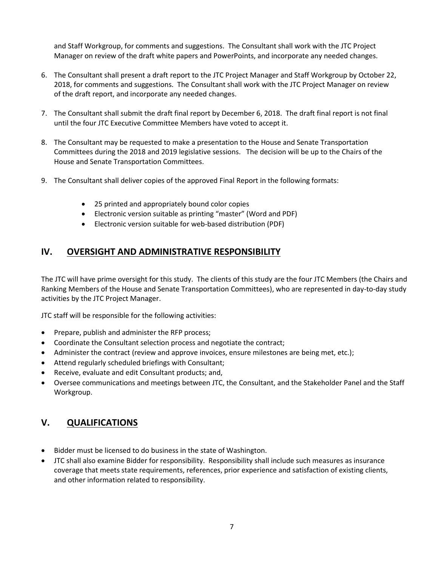and Staff Workgroup, for comments and suggestions. The Consultant shall work with the JTC Project Manager on review of the draft white papers and PowerPoints, and incorporate any needed changes.

- 6. The Consultant shall present a draft report to the JTC Project Manager and Staff Workgroup by October 22, 2018, for comments and suggestions. The Consultant shall work with the JTC Project Manager on review of the draft report, and incorporate any needed changes.
- 7. The Consultant shall submit the draft final report by December 6, 2018. The draft final report is not final until the four JTC Executive Committee Members have voted to accept it.
- 8. The Consultant may be requested to make a presentation to the House and Senate Transportation Committees during the 2018 and 2019 legislative sessions. The decision will be up to the Chairs of the House and Senate Transportation Committees.
- 9. The Consultant shall deliver copies of the approved Final Report in the following formats:
	- 25 printed and appropriately bound color copies
	- Electronic version suitable as printing "master" (Word and PDF)
	- Electronic version suitable for web-based distribution (PDF)

#### **IV. OVERSIGHT AND ADMINISTRATIVE RESPONSIBILITY**

The JTC will have prime oversight for this study. The clients of this study are the four JTC Members (the Chairs and Ranking Members of the House and Senate Transportation Committees), who are represented in day-to-day study activities by the JTC Project Manager.

JTC staff will be responsible for the following activities:

- Prepare, publish and administer the RFP process;
- Coordinate the Consultant selection process and negotiate the contract;
- Administer the contract (review and approve invoices, ensure milestones are being met, etc.);
- Attend regularly scheduled briefings with Consultant;
- Receive, evaluate and edit Consultant products; and,
- Oversee communications and meetings between JTC, the Consultant, and the Stakeholder Panel and the Staff Workgroup.

#### **V. QUALIFICATIONS**

- Bidder must be licensed to do business in the state of Washington.
- JTC shall also examine Bidder for responsibility. Responsibility shall include such measures as insurance coverage that meets state requirements, references, prior experience and satisfaction of existing clients, and other information related to responsibility.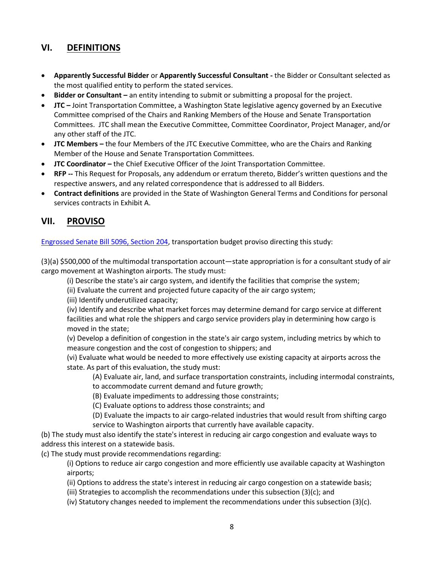### **VI. DEFINITIONS**

- **Apparently Successful Bidder** or **Apparently Successful Consultant -** the Bidder or Consultant selected as the most qualified entity to perform the stated services.
- **Bidder or Consultant –** an entity intending to submit or submitting a proposal for the project.
- **JTC –** Joint Transportation Committee, a Washington State legislative agency governed by an Executive Committee comprised of the Chairs and Ranking Members of the House and Senate Transportation Committees. JTC shall mean the Executive Committee, Committee Coordinator, Project Manager, and/or any other staff of the JTC.
- **JTC Members –** the four Members of the JTC Executive Committee, who are the Chairs and Ranking Member of the House and Senate Transportation Committees.
- **JTC Coordinator –** the Chief Executive Officer of the Joint Transportation Committee.
- **RFP --** This Request for Proposals, any addendum or erratum thereto, Bidder's written questions and the respective answers, and any related correspondence that is addressed to all Bidders.
- **Contract definitions** are provided in the State of Washington General Terms and Conditions for personal services contracts in Exhibit A.

# **VII. PROVISO**

[Engrossed Senate Bill 5096, Section 204,](http://lawfiles/biennium/2017-18/Pdf/Bills/Senate%20Passed%20Legislature/5096.PL.pdf) transportation budget proviso directing this study:

(3)(a) \$500,000 of the multimodal transportation account—state appropriation is for a consultant study of air cargo movement at Washington airports. The study must:

(i) Describe the state's air cargo system, and identify the facilities that comprise the system;

(ii) Evaluate the current and projected future capacity of the air cargo system;

(iii) Identify underutilized capacity;

(iv) Identify and describe what market forces may determine demand for cargo service at different facilities and what role the shippers and cargo service providers play in determining how cargo is moved in the state;

(v) Develop a definition of congestion in the state's air cargo system, including metrics by which to measure congestion and the cost of congestion to shippers; and

(vi) Evaluate what would be needed to more effectively use existing capacity at airports across the state. As part of this evaluation, the study must:

(A) Evaluate air, land, and surface transportation constraints, including intermodal constraints, to accommodate current demand and future growth;

(B) Evaluate impediments to addressing those constraints;

(C) Evaluate options to address those constraints; and

(D) Evaluate the impacts to air cargo-related industries that would result from shifting cargo service to Washington airports that currently have available capacity.

(b) The study must also identify the state's interest in reducing air cargo congestion and evaluate ways to address this interest on a statewide basis.

(c) The study must provide recommendations regarding:

(i) Options to reduce air cargo congestion and more efficiently use available capacity at Washington airports;

(ii) Options to address the state's interest in reducing air cargo congestion on a statewide basis;

(iii) Strategies to accomplish the recommendations under this subsection (3)(c); and

(iv) Statutory changes needed to implement the recommendations under this subsection (3)(c).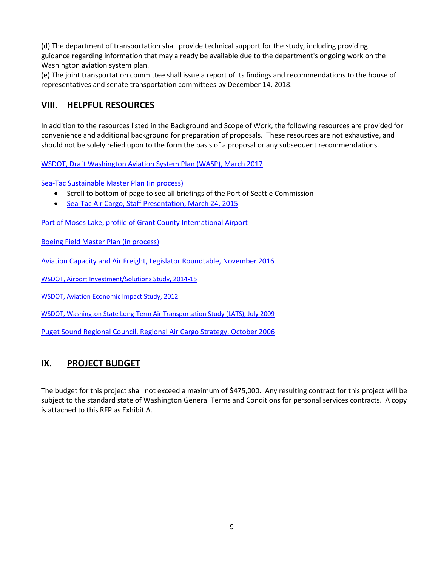(d) The department of transportation shall provide technical support for the study, including providing guidance regarding information that may already be available due to the department's ongoing work on the Washington aviation system plan.

(e) The joint transportation committee shall issue a report of its findings and recommendations to the house of representatives and senate transportation committees by December 14, 2018.

### **VIII. HELPFUL RESOURCES**

In addition to the resources listed in the Background and Scope of Work, the following resources are provided for convenience and additional background for preparation of proposals. These resources are not exhaustive, and should not be solely relied upon to the form the basis of a proposal or any subsequent recommendations.

[WSDOT, Draft Washington Aviation System Plan \(WASP\), March 2017](http://www.wsdot.wa.gov/aviation/Planning/wasp.htm)

[Sea-Tac Sustainable Master Plan \(in process\)](https://www.portseattle.org/Business/Construction-Projects/Airport-Projects/Pages/airport-master-plan.aspx)

- Scroll to bottom of page to see all briefings of the Port of Seattle Commission
- [Sea-Tac Air Cargo, Staff Presentation, March 24, 2015](https://www.portseattle.org/about/commission/meetings/2015/2015_03_24_RM_7c_supp.pdf)

[Port of Moses Lake, profile of Grant County International Airport](http://www.portofmoseslake.com/aeronautics/)

[Boeing Field Master Plan \(in process\)](http://kingcounty.gov/depts/transportation/airport/planning.aspx)

[Aviation Capacity and Air Freight, Legislator Roundtable, November 2016](http://leg.wa.gov/JTC/Documents/Studies/AirCargo/AviationCapacityAirFreightMeetingNotes110716.pdf)

[WSDOT, Airport Investment/Solutions Study, 2014-15](http://www.wsdot.wa.gov/aviation/AirportInvestmentStudy.htm)

[WSDOT, Aviation Economic Impact Study, 2012](http://www.wsdot.wa.gov/aviation/WAEconomicStudy.htm)

[WSDOT, Washington State Long-Term Air Transportation Study \(LATS\), July 2009](http://www.wsdot.wa.gov/aviation/lats/default.htm)

[Puget Sound Regional Council, Regional Air Cargo Strategy,](https://www.psrc.org/sites/default/files/aircargo.pdf) October 2006

## **IX. PROJECT BUDGET**

The budget for this project shall not exceed a maximum of \$475,000. Any resulting contract for this project will be subject to the standard state of Washington General Terms and Conditions for personal services contracts. A copy is attached to this RFP as Exhibit A.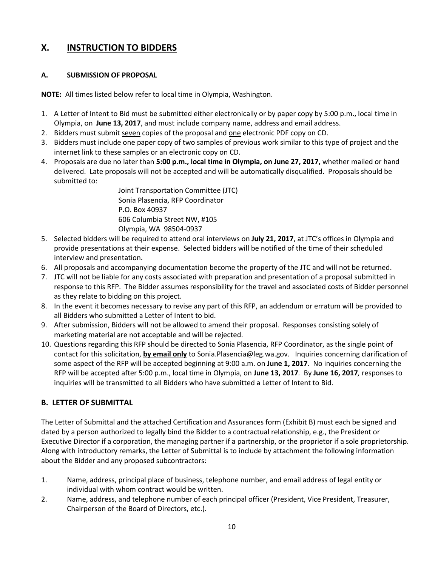#### **X. INSTRUCTION TO BIDDERS**

#### **A. SUBMISSION OF PROPOSAL**

**NOTE:** All times listed below refer to local time in Olympia, Washington.

- 1. A Letter of Intent to Bid must be submitted either electronically or by paper copy by 5:00 p.m., local time in Olympia, on **June 13, 2017**, and must include company name, address and email address.
- 2. Bidders must submit seven copies of the proposal and one electronic PDF copy on CD.
- 3. Bidders must include one paper copy of two samples of previous work similar to this type of project and the internet link to these samples or an electronic copy on CD.
- 4. Proposals are due no later than **5:00 p.m., local time in Olympia, on June 27, 2017,** whether mailed or hand delivered. Late proposals will not be accepted and will be automatically disqualified. Proposals should be submitted to:

Joint Transportation Committee (JTC) Sonia Plasencia, RFP Coordinator P.O. Box 40937 606 Columbia Street NW, #105 Olympia, WA 98504-0937

- 5. Selected bidders will be required to attend oral interviews on **July 21, 2017**, at JTC's offices in Olympia and provide presentations at their expense. Selected bidders will be notified of the time of their scheduled interview and presentation.
- 6. All proposals and accompanying documentation become the property of the JTC and will not be returned.
- 7. JTC will not be liable for any costs associated with preparation and presentation of a proposal submitted in response to this RFP. The Bidder assumes responsibility for the travel and associated costs of Bidder personnel as they relate to bidding on this project.
- 8. In the event it becomes necessary to revise any part of this RFP, an addendum or erratum will be provided to all Bidders who submitted a Letter of Intent to bid.
- 9. After submission, Bidders will not be allowed to amend their proposal. Responses consisting solely of marketing material are not acceptable and will be rejected.
- 10. Questions regarding this RFP should be directed to Sonia Plasencia, RFP Coordinator, as the single point of contact for this solicitation, **by email only** to Sonia.Plasencia@leg.wa.gov. Inquiries concerning clarification of some aspect of the RFP will be accepted beginning at 9:00 a.m. on **June 1, 2017***.* No inquiries concerning the RFP will be accepted after 5:00 p.m., local time in Olympia, on **June 13, 2017***.* By **June 16, 2017***,* responses to inquiries will be transmitted to all Bidders who have submitted a Letter of Intent to Bid.

#### **B. LETTER OF SUBMITTAL**

The Letter of Submittal and the attached Certification and Assurances form (Exhibit B) must each be signed and dated by a person authorized to legally bind the Bidder to a contractual relationship, e.g., the President or Executive Director if a corporation, the managing partner if a partnership, or the proprietor if a sole proprietorship. Along with introductory remarks, the Letter of Submittal is to include by attachment the following information about the Bidder and any proposed subcontractors:

- 1. Name, address, principal place of business, telephone number, and email address of legal entity or individual with whom contract would be written.
- 2. Name, address, and telephone number of each principal officer (President, Vice President, Treasurer, Chairperson of the Board of Directors, etc.).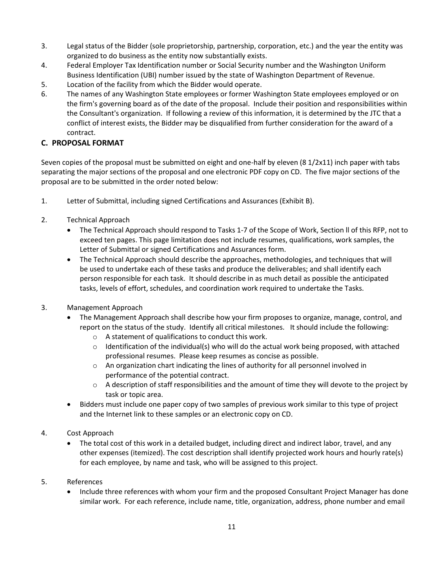- 3. Legal status of the Bidder (sole proprietorship, partnership, corporation, etc.) and the year the entity was organized to do business as the entity now substantially exists.
- 4. Federal Employer Tax Identification number or Social Security number and the Washington Uniform Business Identification (UBI) number issued by the state of Washington Department of Revenue.
- 5. Location of the facility from which the Bidder would operate.
- 6. The names of any Washington State employees or former Washington State employees employed or on the firm's governing board as of the date of the proposal. Include their position and responsibilities within the Consultant's organization. If following a review of this information, it is determined by the JTC that a conflict of interest exists, the Bidder may be disqualified from further consideration for the award of a contract.

#### **C. PROPOSAL FORMAT**

Seven copies of the proposal must be submitted on eight and one-half by eleven (8 1/2x11) inch paper with tabs separating the major sections of the proposal and one electronic PDF copy on CD. The five major sections of the proposal are to be submitted in the order noted below:

- 1. Letter of Submittal, including signed Certifications and Assurances (Exhibit B).
- 2. Technical Approach
	- The Technical Approach should respond to Tasks 1-7 of the Scope of Work, Section ll of this RFP, not to exceed ten pages. This page limitation does not include resumes, qualifications, work samples, the Letter of Submittal or signed Certifications and Assurances form.
	- The Technical Approach should describe the approaches, methodologies, and techniques that will be used to undertake each of these tasks and produce the deliverables; and shall identify each person responsible for each task. It should describe in as much detail as possible the anticipated tasks, levels of effort, schedules, and coordination work required to undertake the Tasks.
- 3. Management Approach
	- The Management Approach shall describe how your firm proposes to organize, manage, control, and report on the status of the study. Identify all critical milestones. It should include the following:
		- o A statement of qualifications to conduct this work.
		- $\circ$  Identification of the individual(s) who will do the actual work being proposed, with attached professional resumes. Please keep resumes as concise as possible.
		- o An organization chart indicating the lines of authority for all personnel involved in performance of the potential contract.
		- $\circ$  A description of staff responsibilities and the amount of time they will devote to the project by task or topic area.
	- Bidders must include one paper copy of two samples of previous work similar to this type of project and the Internet link to these samples or an electronic copy on CD.
- 4. Cost Approach
	- The total cost of this work in a detailed budget, including direct and indirect labor, travel, and any other expenses (itemized). The cost description shall identify projected work hours and hourly rate(s) for each employee, by name and task, who will be assigned to this project.
- 5. References
	- Include three references with whom your firm and the proposed Consultant Project Manager has done similar work. For each reference, include name, title, organization, address, phone number and email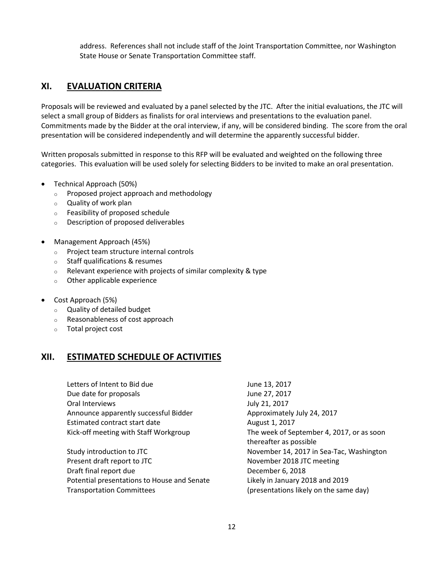address. References shall not include staff of the Joint Transportation Committee, nor Washington State House or Senate Transportation Committee staff.

### **XI. EVALUATION CRITERIA**

Proposals will be reviewed and evaluated by a panel selected by the JTC. After the initial evaluations, the JTC will select a small group of Bidders as finalists for oral interviews and presentations to the evaluation panel. Commitments made by the Bidder at the oral interview, if any, will be considered binding. The score from the oral presentation will be considered independently and will determine the apparently successful bidder.

Written proposals submitted in response to this RFP will be evaluated and weighted on the following three categories. This evaluation will be used solely for selecting Bidders to be invited to make an oral presentation.

- Technical Approach (50%)
	- o Proposed project approach and methodology
	- o Quality of work plan
	- o Feasibility of proposed schedule
	- o Description of proposed deliverables
- Management Approach (45%)
	- o Project team structure internal controls
	- o Staff qualifications & resumes
	- $\circ$  Relevant experience with projects of similar complexity & type
	- o Other applicable experience
- Cost Approach (5%)
	- o Quality of detailed budget
	- o Reasonableness of cost approach
	- o Total project cost

#### **XII. ESTIMATED SCHEDULE OF ACTIVITIES**

Letters of Intent to Bid due June 13, 2017 Due date for proposals June 27, 2017 Oral Interviews **July 21, 2017** Announce apparently successful Bidder Approximately July 24, 2017 Estimated contract start date August 1, 2017

Study introduction to JTC November 14, 2017 in Sea-Tac, Washington Present draft report to JTC November 2018 JTC meeting Draft final report due December 6, 2018 Potential presentations to House and Senate Likely in January 2018 and 2019 Transportation Committees (presentations likely on the same day)

Kick-off meeting with Staff Workgroup The week of September 4, 2017, or as soon thereafter as possible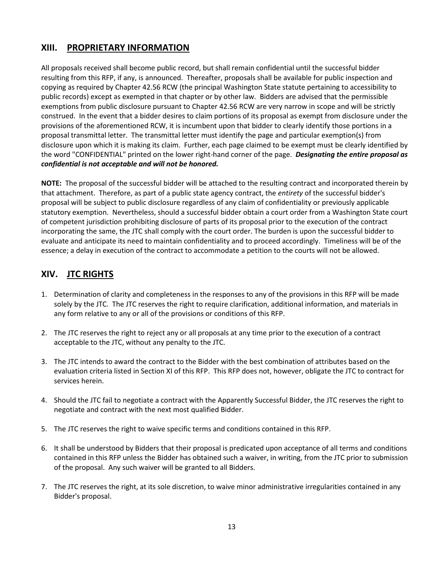### **XIII. PROPRIETARY INFORMATION**

All proposals received shall become public record, but shall remain confidential until the successful bidder resulting from this RFP, if any, is announced. Thereafter, proposals shall be available for public inspection and copying as required by Chapter 42.56 RCW (the principal Washington State statute pertaining to accessibility to public records) except as exempted in that chapter or by other law. Bidders are advised that the permissible exemptions from public disclosure pursuant to Chapter 42.56 RCW are very narrow in scope and will be strictly construed. In the event that a bidder desires to claim portions of its proposal as exempt from disclosure under the provisions of the aforementioned RCW, it is incumbent upon that bidder to clearly identify those portions in a proposal transmittal letter. The transmittal letter must identify the page and particular exemption(s) from disclosure upon which it is making its claim. Further, each page claimed to be exempt must be clearly identified by the word "CONFIDENTIAL" printed on the lower right-hand corner of the page. *Designating the entire proposal as confidential is not acceptable and will not be honored.*

**NOTE:** The proposal of the successful bidder will be attached to the resulting contract and incorporated therein by that attachment. Therefore, as part of a public state agency contract, the *entirety* of the successful bidder's proposal will be subject to public disclosure regardless of any claim of confidentiality or previously applicable statutory exemption. Nevertheless, should a successful bidder obtain a court order from a Washington State court of competent jurisdiction prohibiting disclosure of parts of its proposal prior to the execution of the contract incorporating the same, the JTC shall comply with the court order. The burden is upon the successful bidder to evaluate and anticipate its need to maintain confidentiality and to proceed accordingly. Timeliness will be of the essence; a delay in execution of the contract to accommodate a petition to the courts will not be allowed.

## **XIV. JTC RIGHTS**

- 1. Determination of clarity and completeness in the responses to any of the provisions in this RFP will be made solely by the JTC. The JTC reserves the right to require clarification, additional information, and materials in any form relative to any or all of the provisions or conditions of this RFP.
- 2. The JTC reserves the right to reject any or all proposals at any time prior to the execution of a contract acceptable to the JTC, without any penalty to the JTC.
- 3. The JTC intends to award the contract to the Bidder with the best combination of attributes based on the evaluation criteria listed in Section XI of this RFP. This RFP does not, however, obligate the JTC to contract for services herein.
- 4. Should the JTC fail to negotiate a contract with the Apparently Successful Bidder, the JTC reserves the right to negotiate and contract with the next most qualified Bidder.
- 5. The JTC reserves the right to waive specific terms and conditions contained in this RFP.
- 6. It shall be understood by Bidders that their proposal is predicated upon acceptance of all terms and conditions contained in this RFP unless the Bidder has obtained such a waiver, in writing, from the JTC prior to submission of the proposal. Any such waiver will be granted to all Bidders.
- 7. The JTC reserves the right, at its sole discretion, to waive minor administrative irregularities contained in any Bidder's proposal.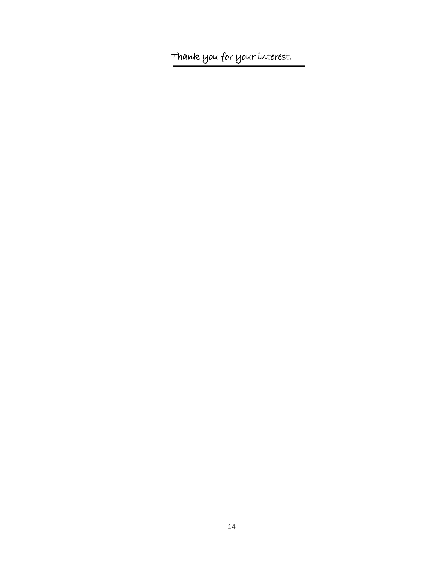Thank you for your interest.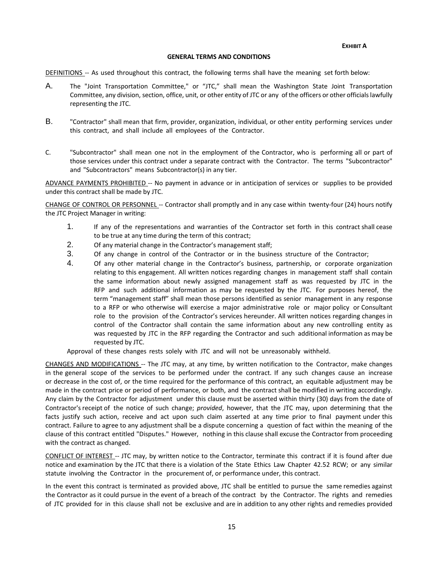**EXHIBIT A**

#### **GENERAL TERMS AND CONDITIONS**

DEFINITIONS -- As used throughout this contract, the following terms shall have the meaning set forth below:

- A. The "Joint Transportation Committee," or "JTC," shall mean the Washington State Joint Transportation Committee, any division, section, office, unit, or other entity of JTC or any of the officers or other officialslawfully representing the JTC.
- B. "Contractor" shall mean that firm, provider, organization, individual, or other entity performing services under this contract, and shall include all employees of the Contractor.
- C. "Subcontractor" shall mean one not in the employment of the Contractor, who is performing all or part of those services under this contract under a separate contract with the Contractor. The terms "Subcontractor" and "Subcontractors" means Subcontractor(s) in any tier.

ADVANCE PAYMENTS PROHIBITED -- No payment in advance or in anticipation of services or supplies to be provided under this contract shall be made by JTC.

CHANGE OF CONTROL OR PERSONNEL -- Contractor shall promptly and in any case within twenty-four (24) hours notify the JTC Project Manager in writing:

- 1. If any of the representations and warranties of the Contractor set forth in this contract shall cease to be true at any time during the term of this contract;
- 2. Of any material change in the Contractor's management staff;
- 3. Of any change in control of the Contractor or in the business structure of the Contractor;
- 4. Of any other material change in the Contractor's business, partnership, or corporate organization relating to this engagement. All written notices regarding changes in management staff shall contain the same information about newly assigned management staff as was requested by JTC in the RFP and such additional information as may be requested by the JTC. For purposes hereof, the term "management staff" shall mean those persons identified as senior management in any response to a RFP or who otherwise will exercise a major administrative role or major policy or Consultant role to the provision of the Contractor's services hereunder. All written notices regarding changes in control of the Contractor shall contain the same information about any new controlling entity as was requested by JTC in the RFP regarding the Contractor and such additional information as may be requested by JTC.

Approval of these changes rests solely with JTC and will not be unreasonably withheld.

CHANGES AND MODIFICATIONS -- The JTC may, at any time, by written notification to the Contractor, make changes in the general scope of the services to be performed under the contract. If any such changes cause an increase or decrease in the cost of, or the time required for the performance of this contract, an equitable adjustment may be made in the contract price or period of performance, or both, and the contract shall be modified in writing accordingly. Any claim by the Contractor for adjustment under this clause must be asserted within thirty (30) days from the date of Contractor's receipt of the notice of such change; *provided*, however, that the JTC may, upon determining that the facts justify such action, receive and act upon such claim asserted at any time prior to final payment under this contract. Failure to agree to any adjustment shall be a dispute concerning a question of fact within the meaning of the clause of this contract entitled "Disputes." However, nothing in this clause shall excuse the Contractor from proceeding with the contract as changed.

CONFLICT OF INTEREST -- JTC may, by written notice to the Contractor, terminate this contract if it is found after due notice and examination by the JTC that there is a violation of the State Ethics Law Chapter 42.52 RCW; or any similar statute involving the Contractor in the procurement of, or performance under, this contract.

In the event this contract is terminated as provided above, JTC shall be entitled to pursue the same remedies against the Contractor as it could pursue in the event of a breach of the contract by the Contractor. The rights and remedies of JTC provided for in this clause shall not be exclusive and are in addition to any other rights and remedies provided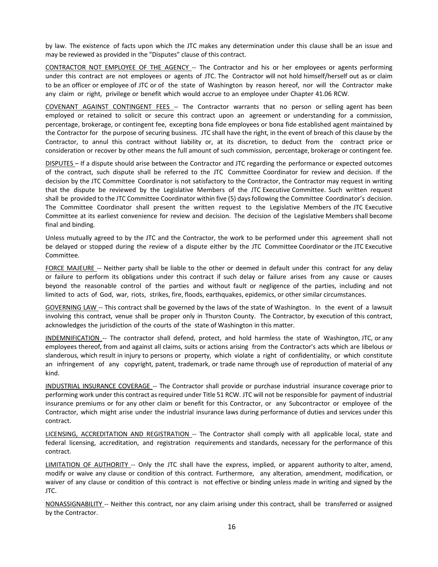by law. The existence of facts upon which the JTC makes any determination under this clause shall be an issue and may be reviewed as provided in the "Disputes" clause of this contract.

CONTRACTOR NOT EMPLOYEE OF THE AGENCY -- The Contractor and his or her employees or agents performing under this contract are not employees or agents of JTC. The Contractor will not hold himself/herself out as or claim to be an officer or employee of JTC or of the state of Washington by reason hereof, nor will the Contractor make any claim or right, privilege or benefit which would accrue to an employee under Chapter 41.06 RCW.

COVENANT AGAINST CONTINGENT FEES -- The Contractor warrants that no person or selling agent has been employed or retained to solicit or secure this contract upon an agreement or understanding for a commission, percentage, brokerage, or contingent fee, excepting bona fide employees or bona fide established agent maintained by the Contractor for the purpose of securing business. JTC shall have the right, in the event of breach of this clause by the Contractor, to annul this contract without liability or, at its discretion, to deduct from the contract price or consideration or recover by other means the full amount of such commission, percentage, brokerage or contingent fee.

DISPUTES – If a dispute should arise between the Contractor and JTC regarding the performance or expected outcomes of the contract, such dispute shall be referred to the JTC Committee Coordinator for review and decision. If the decision by the JTC Committee Coordinator is not satisfactory to the Contractor, the Contractor may request in writing that the dispute be reviewed by the Legislative Members of the JTC Executive Committee. Such written request shall be provided to the JTC Committee Coordinator within five (5) daysfollowing the Committee Coordinator's decision. The Committee Coordinator shall present the written request to the Legislative Members of the JTC Executive Committee at its earliest convenience for review and decision. The decision of the Legislative Members shall become final and binding.

Unless mutually agreed to by the JTC and the Contractor, the work to be performed under this agreement shall not be delayed or stopped during the review of a dispute either by the JTC Committee Coordinator or the JTC Executive Committee.

FORCE MAJEURE -- Neither party shall be liable to the other or deemed in default under this contract for any delay or failure to perform its obligations under this contract if such delay or failure arises from any cause or causes beyond the reasonable control of the parties and without fault or negligence of the parties, including and not limited to acts of God, war, riots, strikes, fire, floods, earthquakes, epidemics, or other similar circumstances.

GOVERNING LAW -- This contract shall be governed by the laws of the state of Washington. In the event of a lawsuit involving this contract, venue shall be proper only in Thurston County. The Contractor, by execution of this contract, acknowledges the jurisdiction of the courts of the state of Washington in this matter.

INDEMNIFICATION -- The contractor shall defend, protect, and hold harmless the state of Washington, JTC, or any employees thereof, from and against all claims, suits or actions arising from the Contractor's acts which are libelous or slanderous, which result in injury to persons or property, which violate a right of confidentiality, or which constitute an infringement of any copyright, patent, trademark, or trade name through use of reproduction of material of any kind.

INDUSTRIAL INSURANCE COVERAGE -- The Contractor shall provide or purchase industrial insurance coverage prior to performing work under this contract as required under Title 51 RCW. JTC will not be responsible for payment of industrial insurance premiums or for any other claim or benefit for this Contractor, or any Subcontractor or employee of the Contractor, which might arise under the industrial insurance laws during performance of duties and services under this contract.

LICENSING, ACCREDITATION AND REGISTRATION -- The Contractor shall comply with all applicable local, state and federal licensing, accreditation, and registration requirements and standards, necessary for the performance of this contract.

LIMITATION OF AUTHORITY -- Only the JTC shall have the express, implied, or apparent authority to alter, amend, modify or waive any clause or condition of this contract. Furthermore, any alteration, amendment, modification, or waiver of any clause or condition of this contract is not effective or binding unless made in writing and signed by the JTC.

NONASSIGNABILITY -- Neither this contract, nor any claim arising under this contract, shall be transferred or assigned by the Contractor.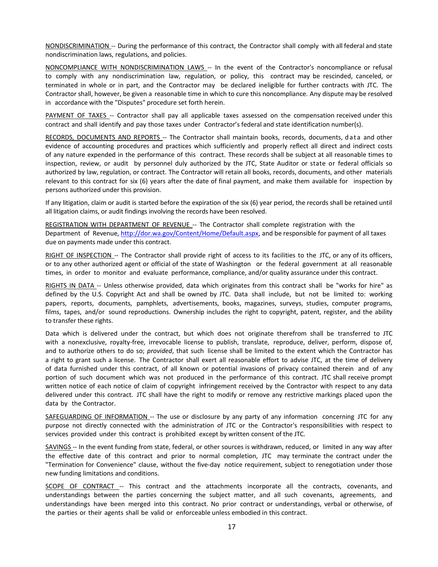NONDISCRIMINATION -- During the performance of this contract, the Contractor shall comply with all federal and state nondiscrimination laws, regulations, and policies.

NONCOMPLIANCE WITH NONDISCRIMINATION LAWS -- In the event of the Contractor's noncompliance or refusal to comply with any nondiscrimination law, regulation, or policy, this contract may be rescinded, canceled, or terminated in whole or in part, and the Contractor may be declared ineligible for further contracts with JTC. The Contractor shall, however, be given a reasonable time in which to cure this noncompliance. Any dispute may be resolved in accordance with the "Disputes" procedure set forth herein.

PAYMENT OF TAXES -- Contractor shall pay all applicable taxes assessed on the compensation received under this contract and shall identify and pay those taxes under Contractor's federal and state identification number(s).

RECORDS, DOCUMENTS AND REPORTS -- The Contractor shall maintain books, records, documents, data and other evidence of accounting procedures and practices which sufficiently and properly reflect all direct and indirect costs of any nature expended in the performance of this contract. These records shall be subject at all reasonable times to inspection, review, or audit by personnel duly authorized by the JTC, State Auditor or state or federal officials so authorized by law, regulation, or contract. The Contractor will retain all books, records, documents, and other materials relevant to this contract for six (6) years after the date of final payment, and make them available for inspection by persons authorized under this provision.

If any litigation, claim or audit is started before the expiration of the six (6) year period, the records shall be retained until all litigation claims, or audit findings involving the records have been resolved.

REGISTRATION WITH DEPARTMENT OF REVENUE -- The Contractor shall complete registration with the Department of Revenue, [http://dor.wa.gov/Content/Home/Default.aspx,](http://dor.wa.gov/Content/Home/Default.aspx) and be responsible for payment of all taxes due on payments made under this contract.

RIGHT OF INSPECTION -- The Contractor shall provide right of access to its facilities to the JTC, or any of its officers, or to any other authorized agent or official of the state of Washington or the federal government at all reasonable times, in order to monitor and evaluate performance, compliance, and/or quality assurance under this contract.

RIGHTS IN DATA -- Unless otherwise provided, data which originates from this contract shall be "works for hire" as defined by the U.S. Copyright Act and shall be owned by JTC. Data shall include, but not be limited to: working papers, reports, documents, pamphlets, advertisements, books, magazines, surveys, studies, computer programs, films, tapes, and/or sound reproductions. Ownership includes the right to copyright, patent, register, and the ability to transfer these rights.

Data which is delivered under the contract, but which does not originate therefrom shall be transferred to JTC with a nonexclusive, royalty-free, irrevocable license to publish, translate, reproduce, deliver, perform, dispose of, and to authorize others to do so; *provided*, that such license shall be limited to the extent which the Contractor has a right to grant such a license. The Contractor shall exert all reasonable effort to advise JTC, at the time of delivery of data furnished under this contract, of all known or potential invasions of privacy contained therein and of any portion of such document which was not produced in the performance of this contract. JTC shall receive prompt written notice of each notice of claim of copyright infringement received by the Contractor with respect to any data delivered under this contract. JTC shall have the right to modify or remove any restrictive markings placed upon the data by the Contractor.

SAFEGUARDING OF INFORMATION -- The use or disclosure by any party of any information concerning JTC for any purpose not directly connected with the administration of JTC or the Contractor's responsibilities with respect to services provided under this contract is prohibited except by written consent of the JTC.

SAVINGS -- In the event funding from state, federal, or other sources is withdrawn, reduced, or limited in any way after the effective date of this contract and prior to normal completion, JTC may terminate the contract under the "Termination for Convenience" clause, without the five-day notice requirement, subject to renegotiation under those new funding limitations and conditions.

SCOPE OF CONTRACT -- This contract and the attachments incorporate all the contracts, covenants, and understandings between the parties concerning the subject matter, and all such covenants, agreements, and understandings have been merged into this contract. No prior contract or understandings, verbal or otherwise, of the parties or their agents shall be valid or enforceable unless embodied in this contract.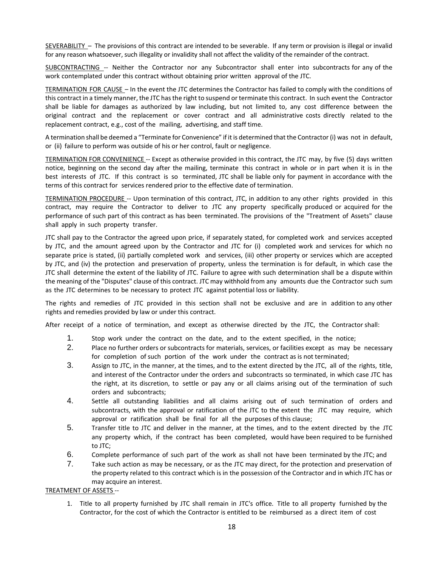SEVERABILITY – The provisions of this contract are intended to be severable. If any term or provision is illegal or invalid for any reason whatsoever, such illegality or invalidity shall not affect the validity of the remainder of the contract.

SUBCONTRACTING -- Neither the Contractor nor any Subcontractor shall enter into subcontracts for any of the work contemplated under this contract without obtaining prior written approval of the JTC.

TERMINATION FOR CAUSE – In the event the JTC determines the Contractor has failed to comply with the conditions of this contract in a timely manner, the JTC has the right to suspend or terminate this contract. In such event the Contractor shall be liable for damages as authorized by law including, but not limited to, any cost difference between the original contract and the replacement or cover contract and all administrative costs directly related to the replacement contract, e.g., cost of the mailing, advertising, and staff time.

A termination shall be deemed a "Terminate for Convenience" if it is determined that the Contractor (i) was not in default, or (ii) failure to perform was outside of his or her control, fault or negligence.

TERMINATION FOR CONVENIENCE -- Except as otherwise provided in this contract, the JTC may, by five (5) days written notice, beginning on the second day after the mailing, terminate this contract in whole or in part when it is in the best interests of JTC. If this contract is so terminated, JTC shall be liable only for payment in accordance with the terms of this contract for services rendered prior to the effective date of termination.

TERMINATION PROCEDURE -- Upon termination of this contract, JTC, in addition to any other rights provided in this contract, may require the Contractor to deliver to JTC any property specifically produced or acquired for the performance of such part of this contract as has been terminated. The provisions of the "Treatment of Assets" clause shall apply in such property transfer.

JTC shall pay to the Contractor the agreed upon price, if separately stated, for completed work and services accepted by JTC, and the amount agreed upon by the Contractor and JTC for (i) completed work and services for which no separate price is stated, (ii) partially completed work and services, (iii) other property or services which are accepted by JTC, and (iv) the protection and preservation of property, unless the termination is for default, in which case the JTC shall determine the extent of the liability of JTC. Failure to agree with such determination shall be a dispute within the meaning of the "Disputes" clause of this contract. JTC may withhold from any amounts due the Contractor such sum as the JTC determines to be necessary to protect JTC against potential loss or liability.

The rights and remedies of JTC provided in this section shall not be exclusive and are in addition to any other rights and remedies provided by law or under this contract.

After receipt of a notice of termination, and except as otherwise directed by the JTC, the Contractor shall:

- 1. Stop work under the contract on the date, and to the extent specified, in the notice;
- 2. Place no further orders or subcontracts for materials, services, or facilities except as may be necessary for completion of such portion of the work under the contract as is not terminated;
- 3. Assign to JTC, in the manner, at the times, and to the extent directed by the JTC, all of the rights, title, and interest of the Contractor under the orders and subcontracts so terminated, in which case JTC has the right, at its discretion, to settle or pay any or all claims arising out of the termination of such orders and subcontracts;
- 4. Settle all outstanding liabilities and all claims arising out of such termination of orders and subcontracts, with the approval or ratification of the JTC to the extent the JTC may require, which approval or ratification shall be final for all the purposes of this clause;
- 5. Transfer title to JTC and deliver in the manner, at the times, and to the extent directed by the JTC any property which, if the contract has been completed, would have been required to be furnished to JTC;
- 6. Complete performance of such part of the work as shall not have been terminated by the JTC; and
- 7. Take such action as may be necessary, or as the JTC may direct, for the protection and preservation of the property related to this contract which is in the possession of the Contractor and in which JTC has or may acquire an interest.

#### TREATMENT OF ASSETS --

1. Title to all property furnished by JTC shall remain in JTC's office. Title to all property furnished by the Contractor, for the cost of which the Contractor is entitled to be reimbursed as a direct item of cost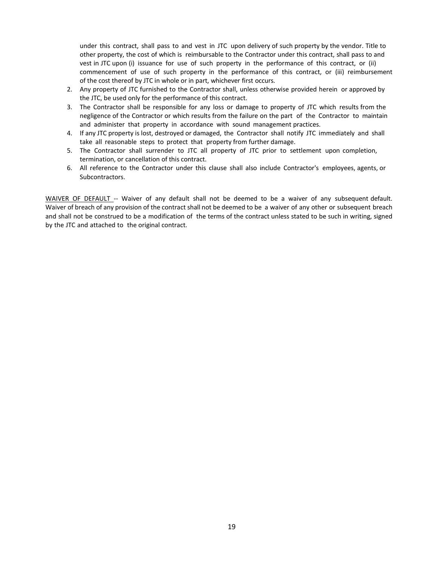under this contract, shall pass to and vest in JTC upon delivery of such property by the vendor. Title to other property, the cost of which is reimbursable to the Contractor under this contract, shall pass to and vest in JTC upon (i) issuance for use of such property in the performance of this contract, or (ii) commencement of use of such property in the performance of this contract, or (iii) reimbursement of the cost thereof by JTC in whole or in part, whichever first occurs.

- 2. Any property of JTC furnished to the Contractor shall, unless otherwise provided herein or approved by the JTC, be used only for the performance of this contract.
- 3. The Contractor shall be responsible for any loss or damage to property of JTC which results from the negligence of the Contractor or which results from the failure on the part of the Contractor to maintain and administer that property in accordance with sound management practices.
- 4. If any JTC property is lost, destroyed or damaged, the Contractor shall notify JTC immediately and shall take all reasonable steps to protect that property from further damage.
- 5. The Contractor shall surrender to JTC all property of JTC prior to settlement upon completion, termination, or cancellation of this contract.
- 6. All reference to the Contractor under this clause shall also include Contractor's employees, agents, or Subcontractors.

WAIVER OF DEFAULT -- Waiver of any default shall not be deemed to be a waiver of any subsequent default. Waiver of breach of any provision of the contract shall not be deemed to be a waiver of any other or subsequent breach and shall not be construed to be a modification of the terms of the contract unless stated to be such in writing, signed by the JTC and attached to the original contract.